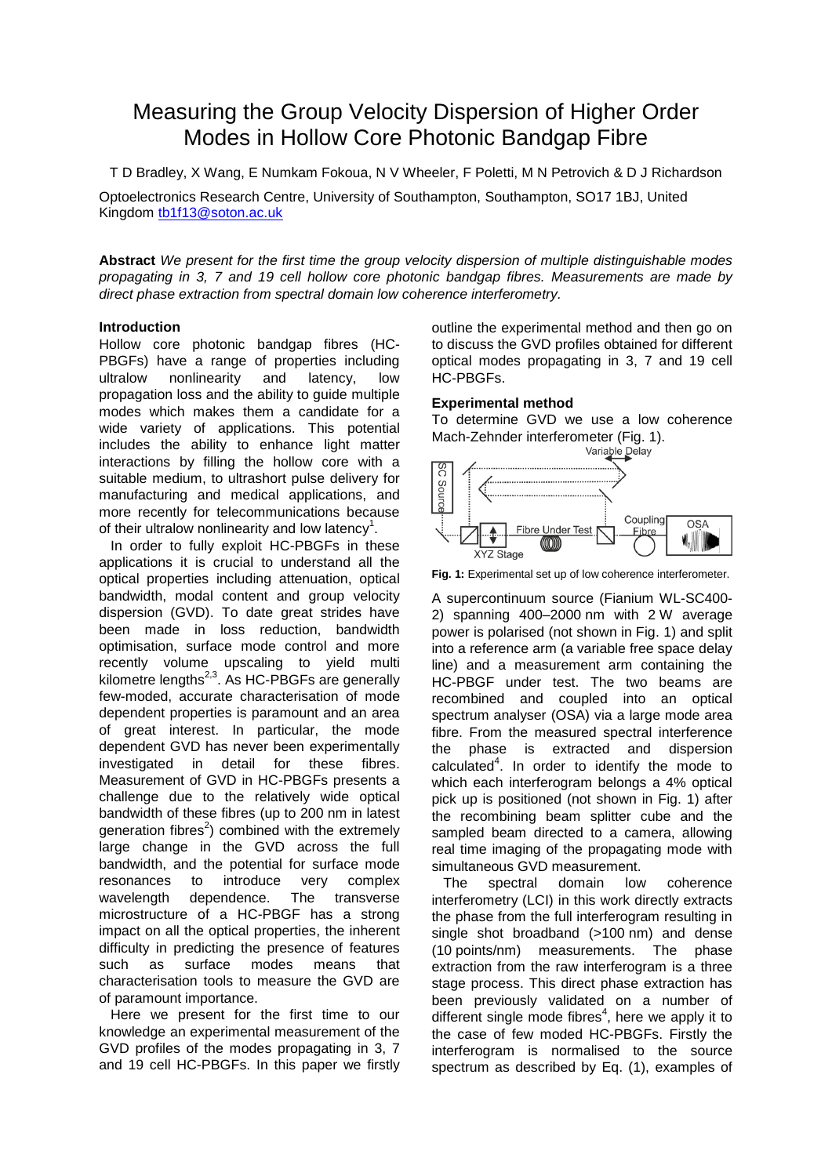# Measuring the Group Velocity Dispersion of Higher Order Modes in Hollow Core Photonic Bandgap Fibre

T D Bradley, X Wang, E Numkam Fokoua, N V Wheeler, F Poletti, M N Petrovich & D J Richardson

Optoelectronics Research Centre, University of Southampton, Southampton, SO17 1BJ, United Kingdom [tb1f13@soton.ac.uk](mailto:tb1f13@soton.ac.uk)

**Abstract** *We present for the first time the group velocity dispersion of multiple distinguishable modes propagating in 3, 7 and 19 cell hollow core photonic bandgap fibres. Measurements are made by direct phase extraction from spectral domain low coherence interferometry.*

# **Introduction**

Hollow core photonic bandgap fibres (HC-PBGFs) have a range of properties including ultralow nonlinearity and latency, low propagation loss and the ability to guide multiple modes which makes them a candidate for a wide variety of applications. This potential includes the ability to enhance light matter interactions by filling the hollow core with a suitable medium, to ultrashort pulse delivery for manufacturing and medical applications, and more recently for telecommunications because of their ultralow nonlinearity and low latency<sup>1</sup>.

 In order to fully exploit HC-PBGFs in these applications it is crucial to understand all the optical properties including attenuation, optical bandwidth, modal content and group velocity dispersion (GVD). To date great strides have been made in loss reduction, bandwidth optimisation, surface mode control and more recently volume upscaling to yield multi kilometre lengths<sup>2,3</sup>. As HC-PBGFs are generally few-moded, accurate characterisation of mode dependent properties is paramount and an area of great interest. In particular, the mode dependent GVD has never been experimentally investigated in detail for these fibres. Measurement of GVD in HC-PBGFs presents a challenge due to the relatively wide optical bandwidth of these fibres (up to 200 nm in latest generation fibres<sup>2</sup>) combined with the extremely large change in the GVD across the full bandwidth, and the potential for surface mode resonances to introduce very complex wavelength dependence. The transverse microstructure of a HC-PBGF has a strong impact on all the optical properties, the inherent difficulty in predicting the presence of features such as surface modes means that characterisation tools to measure the GVD are of paramount importance.

 Here we present for the first time to our knowledge an experimental measurement of the GVD profiles of the modes propagating in 3, 7 and 19 cell HC-PBGFs. In this paper we firstly outline the experimental method and then go on to discuss the GVD profiles obtained for different optical modes propagating in 3, 7 and 19 cell HC-PBGFs.

# **Experimental method**

To determine GVD we use a low coherence Mach-Zehnder interferometer (Fig. 1).<br>
Variable Delay



**Fig. 1:** Experimental set up of low coherence interferometer.

A supercontinuum source (Fianium WL-SC400- 2) spanning 400–2000 nm with 2 W average power is polarised (not shown in Fig. 1) and split into a reference arm (a variable free space delay line) and a measurement arm containing the HC-PBGF under test. The two beams are recombined and coupled into an optical spectrum analyser (OSA) via a large mode area fibre. From the measured spectral interference the phase is extracted and dispersion calculated $4$ . In order to identify the mode to which each interferogram belongs a 4% optical pick up is positioned (not shown in Fig. 1) after the recombining beam splitter cube and the sampled beam directed to a camera, allowing real time imaging of the propagating mode with simultaneous GVD measurement.

 The spectral domain low coherence interferometry (LCI) in this work directly extracts the phase from the full interferogram resulting in single shot broadband (>100 nm) and dense (10 points/nm) measurements. The phase extraction from the raw interferogram is a three stage process. This direct phase extraction has been previously validated on a number of different single mode fibres $4$ , here we apply it to the case of few moded HC-PBGFs. Firstly the interferogram is normalised to the source spectrum as described by Eq. (1), examples of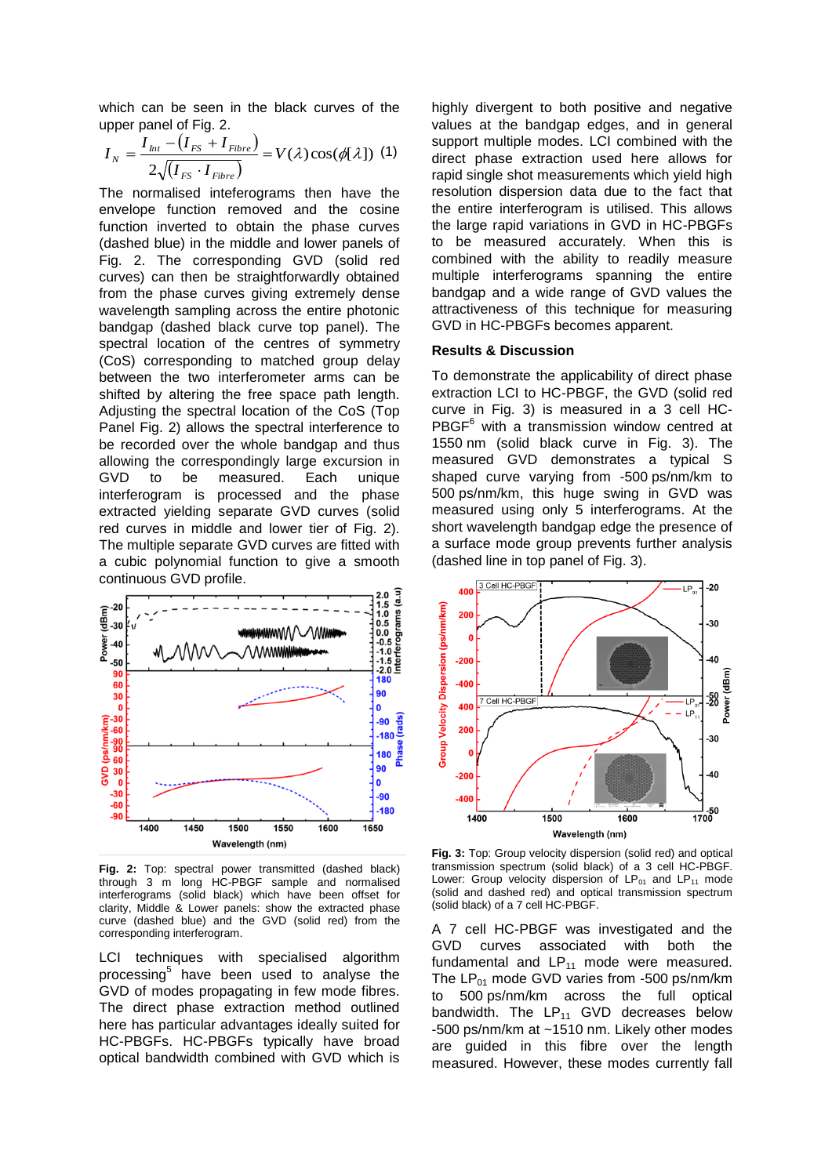which can be seen in the black curves of the upper panel of Fig. 2.

$$
I_N = \frac{I_{I_{Nt}} - (I_{FS} + I_{Fibre})}{2\sqrt{(I_{FS} \cdot I_{Fibre})}} = V(\lambda)\cos(\phi[\lambda])
$$
 (1)

The normalised inteferograms then have the envelope function removed and the cosine function inverted to obtain the phase curves (dashed blue) in the middle and lower panels of Fig. 2. The corresponding GVD (solid red curves) can then be straightforwardly obtained from the phase curves giving extremely dense wavelength sampling across the entire photonic bandgap (dashed black curve top panel). The spectral location of the centres of symmetry (CoS) corresponding to matched group delay between the two interferometer arms can be shifted by altering the free space path length. Adjusting the spectral location of the CoS (Top Panel Fig. 2) allows the spectral interference to be recorded over the whole bandgap and thus allowing the correspondingly large excursion in GVD to be measured. Each unique interferogram is processed and the phase extracted yielding separate GVD curves (solid red curves in middle and lower tier of Fig. 2). The multiple separate GVD curves are fitted with a cubic polynomial function to give a smooth continuous GVD profile.



**Fig. 2:** Top: spectral power transmitted (dashed black) through 3 m long HC-PBGF sample and normalised interferograms (solid black) which have been offset for clarity, Middle & Lower panels: show the extracted phase curve (dashed blue) and the GVD (solid red) from the corresponding interferogram.

LCI techniques with specialised algorithm processing<sup>5</sup> have been used to analyse the GVD of modes propagating in few mode fibres. The direct phase extraction method outlined here has particular advantages ideally suited for HC-PBGFs. HC-PBGFs typically have broad optical bandwidth combined with GVD which is highly divergent to both positive and negative values at the bandgap edges, and in general support multiple modes. LCI combined with the direct phase extraction used here allows for rapid single shot measurements which yield high resolution dispersion data due to the fact that the entire interferogram is utilised. This allows the large rapid variations in GVD in HC-PBGFs to be measured accurately. When this is combined with the ability to readily measure multiple interferograms spanning the entire bandgap and a wide range of GVD values the attractiveness of this technique for measuring GVD in HC-PBGFs becomes apparent.

## **Results & Discussion**

To demonstrate the applicability of direct phase extraction LCI to HC-PBGF, the GVD (solid red curve in Fig. 3) is measured in a 3 cell HC-PBGF<sup>6</sup> with a transmission window centred at 1550 nm (solid black curve in Fig. 3). The measured GVD demonstrates a typical S shaped curve varying from -500 ps/nm/km to 500 ps/nm/km, this huge swing in GVD was measured using only 5 interferograms. At the short wavelength bandgap edge the presence of a surface mode group prevents further analysis (dashed line in top panel of Fig. 3).



**Fig. 3:** Top: Group velocity dispersion (solid red) and optical transmission spectrum (solid black) of a 3 cell HC-PBGF. Lower: Group velocity dispersion of  $LP_{01}$  and  $LP_{11}$  mode (solid and dashed red) and optical transmission spectrum (solid black) of a 7 cell HC-PBGF.

A 7 cell HC-PBGF was investigated and the GVD curves associated with both the fundamental and  $LP_{11}$  mode were measured. The  $LP_{01}$  mode GVD varies from -500 ps/nm/km to 500 ps/nm/km across the full optical bandwidth. The  $LP_{11}$  GVD decreases below -500 ps/nm/km at ~1510 nm. Likely other modes are guided in this fibre over the length measured. However, these modes currently fall